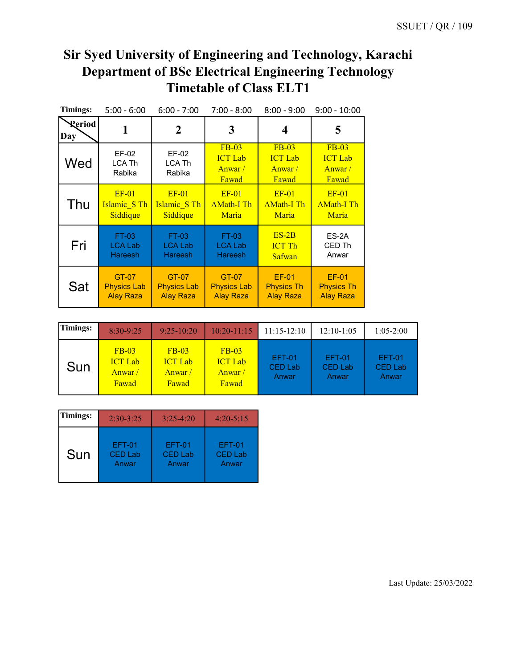| <b>Timings:</b> | $5:00 - 6:00$             | $6:00 - 7:00$             | $7:00 - 8:00$                                   | $8:00 - 9:00$                                        | $9:00 - 10:00$                                  |
|-----------------|---------------------------|---------------------------|-------------------------------------------------|------------------------------------------------------|-------------------------------------------------|
| Reriod<br>Day   | 1                         | $\boldsymbol{2}$          | 3                                               | 4                                                    | 5                                               |
| Wed             | EF-02<br>LCA Th<br>Rabika | EF-02<br>LCA Th<br>Rabika | $FB-03$<br><b>ICT</b> Lab<br>Anwar $/$<br>Fawad | <b>FB-03</b><br><b>ICT</b> Lab<br>Anwar $/$<br>Fawad | $FB-03$<br><b>ICT</b> Lab<br>Anwar $/$<br>Fawad |
| Thu             | $EF-01$                   | $EF-01$                   | $EF-01$                                         | $EF-01$                                              | $EF-01$                                         |
|                 | Islamic S Th              | Islamic S Th              | <b>AMath-I Th</b>                               | <b>AMath-I Th</b>                                    | <b>AMath-I Th</b>                               |
|                 | Siddique                  | Siddique                  | Maria                                           | Maria                                                | Maria                                           |
| Fri             | FT-03                     | <b>FT-03</b>              | FT-03                                           | $ES-2B$                                              | ES-2A                                           |
|                 | LCA Lab                   | <b>LCA Lab</b>            | <b>LCA Lab</b>                                  | <b>ICT Th</b>                                        | CED Th                                          |
|                 | <b>Hareesh</b>            | <b>Hareesh</b>            | <b>Hareesh</b>                                  | Safwan                                               | Anwar                                           |
| Sat             | GT-07                     | GT-07                     | GT-07                                           | <b>EF-01</b>                                         | <b>EF-01</b>                                    |
|                 | <b>Physics Lab</b>        | <b>Physics Lab</b>        | <b>Physics Lab</b>                              | <b>Physics Th</b>                                    | <b>Physics Th</b>                               |
|                 | <b>Alay Raza</b>          | <b>Alay Raza</b>          | <b>Alay Raza</b>                                | <b>Alay Raza</b>                                     | <b>Alay Raza</b>                                |

| Timings: | $8:30-9:25$                                  | $9:25-10:20$                                 | $10:20 - 11:15$                              | $11:15-12:10$                     | $12:10-1:05$                      | $1:05-2:00$                              |
|----------|----------------------------------------------|----------------------------------------------|----------------------------------------------|-----------------------------------|-----------------------------------|------------------------------------------|
| Sun      | $FB-03$<br><b>ICT Lab</b><br>Anwar/<br>Fawad | $FB-03$<br><b>ICT</b> Lab<br>Anwar/<br>Fawad | $FB-03$<br><b>ICT Lab</b><br>Anwar/<br>Fawad | <b>EFT-01</b><br>CED Lab<br>Anwar | <b>EFT-01</b><br>CED Lab<br>Anwar | <b>EFT-01</b><br><b>CED Lab</b><br>Anwar |

| Timings: | $2:30-3:25$    | $3:25-4:20$    | $4:20 - 5:15$  |
|----------|----------------|----------------|----------------|
| Sun      | <b>EFT-01</b>  | <b>EFT-01</b>  | <b>EFT-01</b>  |
|          | <b>CED Lab</b> | <b>CED Lab</b> | <b>CED Lab</b> |
|          | Anwar          | Anwar          | Anwar          |

Last Update: 25/03/2022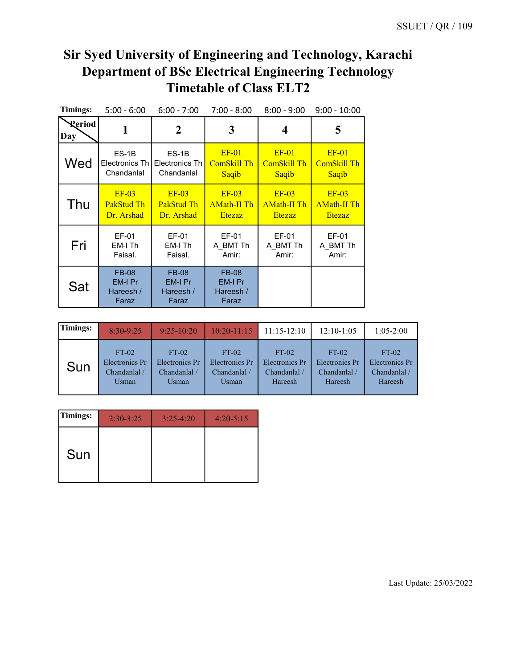| Timings:      | $5:00 - 6:00$                                 | $6:00 - 7:00$                                 | $7:00 - 8:00$                                 | $8:00 - 9:00$      | $9:00 - 10:00$     |
|---------------|-----------------------------------------------|-----------------------------------------------|-----------------------------------------------|--------------------|--------------------|
| Reriod<br>Day | 1                                             | $\boldsymbol{2}$                              | 3                                             | 4                  | 5                  |
| Wed           | $ES-1B$                                       | $ES-1B$                                       | $EF-01$                                       | $EF-01$            | $EF-01$            |
|               | Electronics Th I                              | Electronics Th                                | ComSkill Th                                   | <b>ComSkill Th</b> | <b>ComSkill Th</b> |
|               | Chandanlal                                    | Chandanlal                                    | Saqib                                         | Saqib              | Saqib              |
| Thu           | $EF-03$                                       | $EF-03$                                       | $EF-03$                                       | $EF-03$            | $EF-03$            |
|               | PakStud Th                                    | PakStud Th                                    | <b>AMath-II Th</b>                            | <b>AMath-II Th</b> | <b>AMath-II Th</b> |
|               | Dr. Arshad                                    | Dr. Arshad                                    | <b>Etezaz</b>                                 | <b>Etezaz</b>      | <b>Etezaz</b>      |
| Fri           | EF-01                                         | EF-01                                         | EF-01                                         | EF-01              | EF-01              |
|               | EM-I Th                                       | EM-I Th                                       | A BMT Th                                      | A BMT Th           | A BMT Th           |
|               | Faisal.                                       | Faisal.                                       | Amir:                                         | Amir:              | Amir:              |
| Sat           | <b>FB-08</b><br>EM-I Pr<br>Hareesh /<br>Faraz | <b>FB-08</b><br>EM-I Pr<br>Hareesh /<br>Faraz | <b>FB-08</b><br>EM-I Pr<br>Hareesh /<br>Faraz |                    |                    |

| <b>Timings:</b> | $8:30-9:25$    | $9:25-10:20$   |                | $10:20-11:15$   11:15-12:10 | $12:10-1:05$   | $1:05-2:00$    |
|-----------------|----------------|----------------|----------------|-----------------------------|----------------|----------------|
| Sun             | $FT-02$        | $FT-02$        | $FT-02$        | $FT-02$                     | $FT-02$        | $FT-02$        |
|                 | Electronics Pr | Electronics Pr | Electronics Pr | Electronics Pr              | Electronics Pr | Electronics Pr |
|                 | Chandanlal /   | Chandanlal /   | Chandanlal /   | Chandanlal /                | Chandanlal /   | Chandanlal /   |
|                 | Usman          | Usman          | Usman          | Hareesh                     | Hareesh        | Hareesh        |

| Timings: | $2:30-3:25$ | $3:25-4:20$ | $4:20 - 5:15$ |
|----------|-------------|-------------|---------------|
| Sun      |             |             |               |

Last Update: 25/03/2022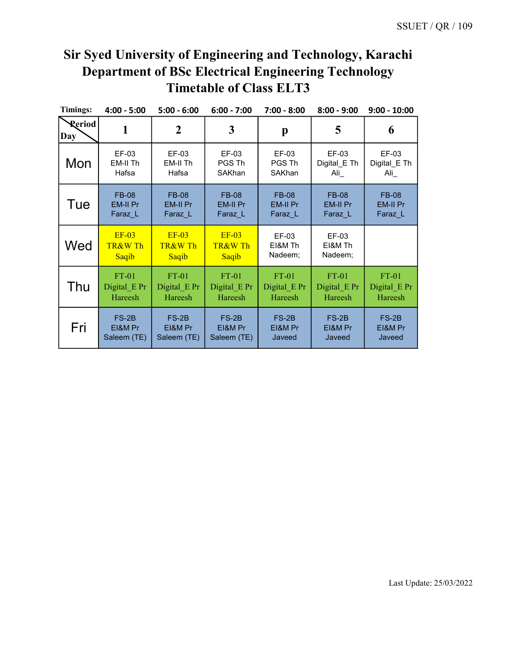| <b>Timings:</b>      | $4:00 - 5:00$               | $5:00 - 6:00$               | $6:00 - 7:00$               | $7:00 - 8:00$               | $8:00 - 9:00$               | $9:00 - 10:00$   |
|----------------------|-----------------------------|-----------------------------|-----------------------------|-----------------------------|-----------------------------|------------------|
| <b>Reriod</b><br>Day | 1                           | 2                           | 3                           | p                           | 5                           | 6                |
| Mon                  | EF-03                       | EF-03                       | EF-03                       | EF-03                       | EF-03                       | EF-03            |
|                      | EM-II Th                    | EM-II Th                    | PGS Th                      | PGS Th                      | Digital_E Th                | Digital_E Th     |
|                      | Hafsa                       | Hafsa                       | SAKhan                      | SAKhan                      | Ali                         | $\mathsf{Ali}\_$ |
| Tue                  | <b>FB-08</b>                | <b>FB-08</b>                | <b>FB-08</b>                | <b>FB-08</b>                | <b>FB-08</b>                | <b>FB-08</b>     |
|                      | EM-II Pr                    | EM-II Pr                    | EM-II Pr                    | <b>EM-II Pr</b>             | <b>EM-II Pr</b>             | EM-II Pr         |
|                      | Faraz L                     | Faraz L                     | Faraz L                     | Faraz L                     | Faraz L                     | Faraz L          |
| Wed                  | $EF-03$<br>TR&W Th<br>Saqib | $EF-03$<br>TR&W Th<br>Saqib | $EF-03$<br>TR&W Th<br>Saqib | EF-03<br>EI&M Th<br>Nadeem; | EF-03<br>EI&M Th<br>Nadeem; |                  |
| Thu                  | $FT-01$                     | $FT-01$                     | $FT-01$                     | $FT-01$                     | $FT-01$                     | $FT-01$          |
|                      | Digital E Pr                | Digital E Pr                | Digital E Pr                | Digital E Pr                | Digital E Pr                | Digital E Pr     |
|                      | Hareesh                     | Hareesh                     | Hareesh                     | Hareesh                     | Hareesh                     | Hareesh          |
| Fri                  | $FS-2B$                     | $FS-2B$                     | $FS-2B$                     | $FS-2B$                     | $FS-2B$                     | $FS-2B$          |
|                      | EI&M Pr                     | EI&M Pr                     | EI&M Pr                     | EI&M Pr                     | EI&M Pr                     | EI&M Pr          |
|                      | Saleem (TE)                 | Saleem (TE)                 | Saleem (TE)                 | Javeed                      | Javeed                      | Javeed           |

Last Update: 25/03/2022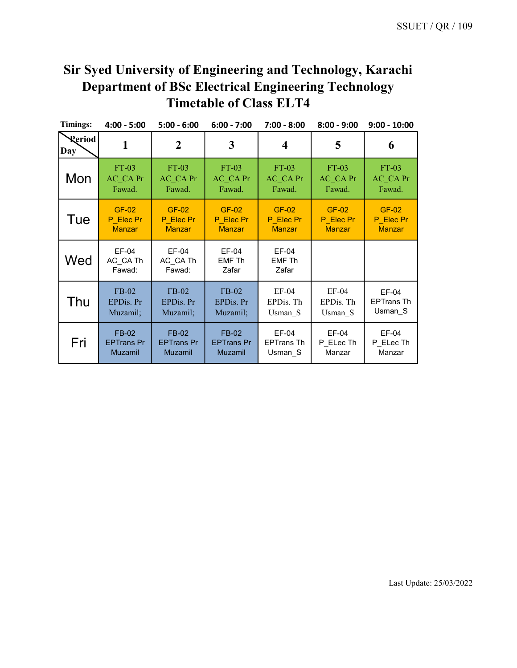| <b>Timings:</b>      | $4:00 - 5:00$               | $5:00 - 6:00$               | $6:00 - 7:00$                   | $7:00 - 8:00$                   | $8:00 - 9:00$ | $9:00 - 10:00$    |
|----------------------|-----------------------------|-----------------------------|---------------------------------|---------------------------------|---------------|-------------------|
| <b>Reriod</b><br>Day | 1                           | $\overline{2}$              | 3                               | 4                               | 5             | 6                 |
| Mon                  | FT-03                       | $FT-03$                     | $FT-03$                         | $FT-03$                         | $FT-03$       | $FT-03$           |
|                      | AC CAPr                     | AC CAPr                     | AC CAPr                         | AC CAPr                         | AC CAPr       | AC CAPr           |
|                      | Fawad.                      | Fawad.                      | Fawad.                          | Fawad.                          | Fawad.        | Fawad.            |
| Tue                  | <b>GF-02</b>                | <b>GF-02</b>                | <b>GF-02</b>                    | <b>GF-02</b>                    | <b>GF-02</b>  | <b>GF-02</b>      |
|                      | P Elec Pr                   | P Elec Pr                   | P Elec Pr                       | P Elec Pr                       | P Elec Pr     | P Elec Pr         |
|                      | <b>Manzar</b>               | <b>Manzar</b>               | <b>Manzar</b>                   | <b>Manzar</b>                   | <b>Manzar</b> | <b>Manzar</b>     |
| Wed                  | EF-04<br>AC CA Th<br>Fawad: | EF-04<br>AC CA Th<br>Fawad: | EF-04<br><b>EMF Th</b><br>Zafar | EF-04<br><b>EMF Th</b><br>Zafar |               |                   |
| Thu                  | $FB-02$                     | $FB-02$                     | $FB-02$                         | $EF-04$                         | $EF-04$       | EF-04             |
|                      | EPDis. Pr                   | EPDis. Pr                   | EPDis. Pr                       | EPDis. Th                       | EPDis. Th     | <b>EPTrans Th</b> |
|                      | Muzamil;                    | Muzamil;                    | Muzamil;                        | Usman S                         | Usman S       | Usman S           |
| Fri                  | <b>FB-02</b>                | <b>FB-02</b>                | FB-02                           | EF-04                           | EF-04         | EF-04             |
|                      | <b>EPTrans Pr</b>           | <b>EPTrans Pr</b>           | <b>EPTrans Pr</b>               | <b>EPTrans Th</b>               | P ELec Th     | P ELec Th         |
|                      | Muzamil                     | Muzamil                     | <b>Muzamil</b>                  | Usman S                         | Manzar        | Manzar            |